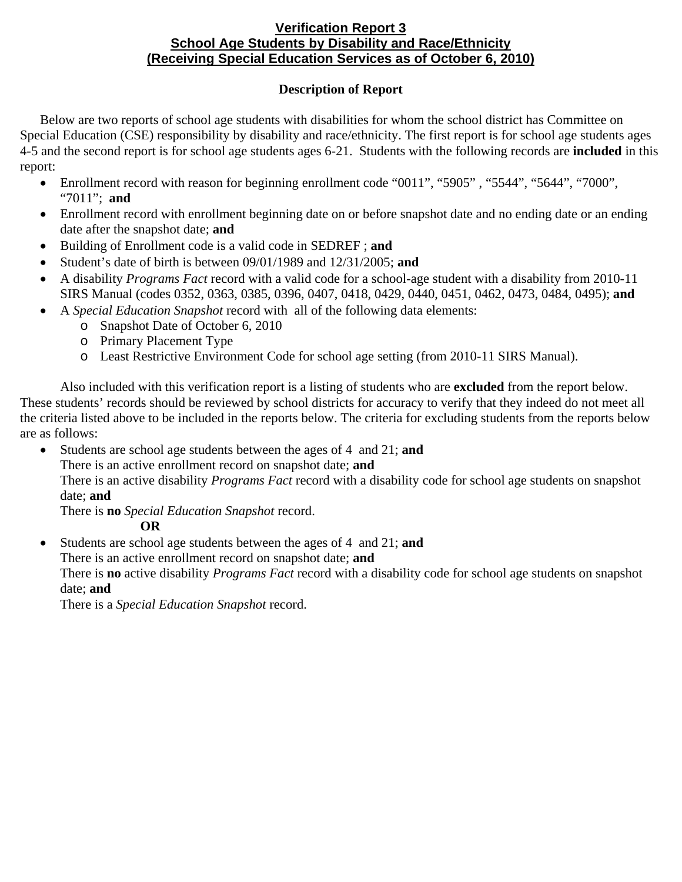## **Verification Report 3 School Age Students by Disability and Race/Ethnicity (Receiving Special Education Services as of October 6, 2010)**

## **Description of Report**

Below are two reports of school age students with disabilities for whom the school district has Committee on Special Education (CSE) responsibility by disability and race/ethnicity. The first report is for school age students ages 4-5 and the second report is for school age students ages 6-21. Students with the following records are **included** in this report:

- Enrollment record with reason for beginning enrollment code "0011", "5905", "5544", "5644", "7000", "7011"; **and**
- Enrollment record with enrollment beginning date on or before snapshot date and no ending date or an ending date after the snapshot date; **and**
- Building of Enrollment code is a valid code in SEDREF ; **and**
- Student's date of birth is between 09/01/1989 and 12/31/2005; **and**
- A disability *Programs Fact* record with a valid code for a school-age student with a disability from 2010-11 SIRS Manual (codes 0352, 0363, 0385, 0396, 0407, 0418, 0429, 0440, 0451, 0462, 0473, 0484, 0495); **and**
- A *Special Education Snapshot* record with all of the following data elements:
	- o Snapshot Date of October 6, 2010
		- o Primary Placement Type
		- o Least Restrictive Environment Code for school age setting (from 2010-11 SIRS Manual).

Also included with this verification report is a listing of students who are **excluded** from the report below. These students' records should be reviewed by school districts for accuracy to verify that they indeed do not meet all the criteria listed above to be included in the reports below. The criteria for excluding students from the reports below are as follows:

- Students are school age students between the ages of 4 and 21; **and** 
	- There is an active enrollment record on snapshot date; **and**

There is an active disability *Programs Fact* record with a disability code for school age students on snapshot date; **and**

There is **no** *Special Education Snapshot* record.

# **OR**

• Students are school age students between the ages of 4 and 21; **and**

There is an active enrollment record on snapshot date; **and** 

There is **no** active disability *Programs Fact* record with a disability code for school age students on snapshot date; **and**

There is a *Special Education Snapshot* record.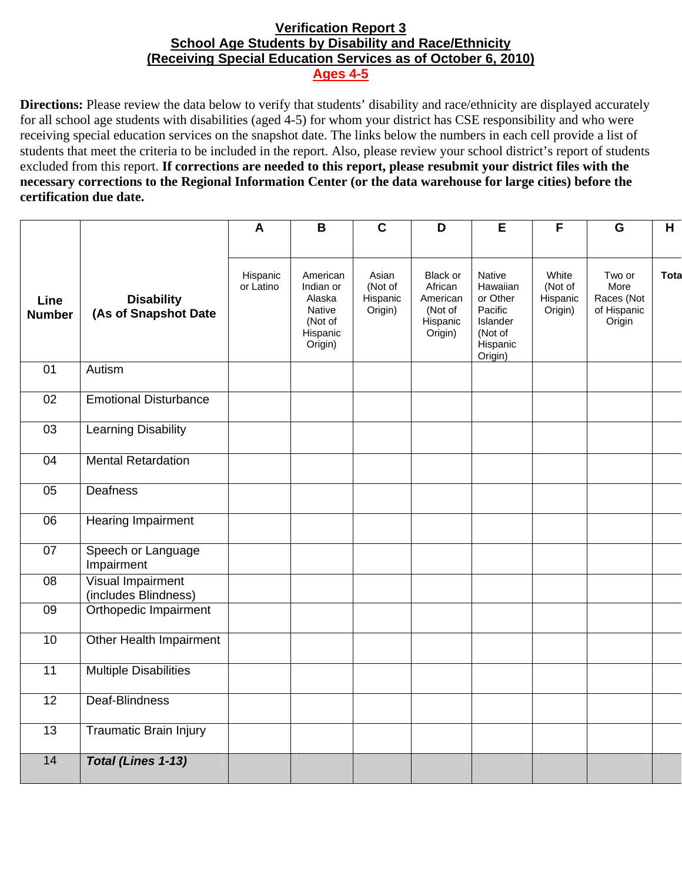## **Verification Report 3 School Age Students by Disability and Race/Ethnicity (Receiving Special Education Services as of October 6, 2010) Ages 4-5**

**Directions:** Please review the data below to verify that students' disability and race/ethnicity are displayed accurately for all school age students with disabilities (aged 4-5) for whom your district has CSE responsibility and who were receiving special education services on the snapshot date. The links below the numbers in each cell provide a list of students that meet the criteria to be included in the report. Also, please review your school district's report of students excluded from this report. **If corrections are needed to this report, please resubmit your district files with the necessary corrections to the Regional Information Center (or the data warehouse for large cities) before the certification due date.**

|                       |                                           | $\mathbf{A}$          | $\overline{B}$                                                                     | $\overline{\mathsf{c}}$                 | $\overline{\mathsf{D}}$                                           | E                                                                                              | $\overline{F}$                          | $\overline{\mathbf{G}}$                               | H    |
|-----------------------|-------------------------------------------|-----------------------|------------------------------------------------------------------------------------|-----------------------------------------|-------------------------------------------------------------------|------------------------------------------------------------------------------------------------|-----------------------------------------|-------------------------------------------------------|------|
|                       |                                           |                       |                                                                                    |                                         |                                                                   |                                                                                                |                                         |                                                       |      |
| Line<br><b>Number</b> | <b>Disability</b><br>(As of Snapshot Date | Hispanic<br>or Latino | American<br>Indian or<br>Alaska<br><b>Native</b><br>(Not of<br>Hispanic<br>Origin) | Asian<br>(Not of<br>Hispanic<br>Origin) | Black or<br>African<br>American<br>(Not of<br>Hispanic<br>Origin) | <b>Native</b><br>Hawaiian<br>or Other<br>Pacific<br>Islander<br>(Not of<br>Hispanic<br>Origin) | White<br>(Not of<br>Hispanic<br>Origin) | Two or<br>More<br>Races (Not<br>of Hispanic<br>Origin | Tota |
| $\overline{01}$       | Autism                                    |                       |                                                                                    |                                         |                                                                   |                                                                                                |                                         |                                                       |      |
| $\overline{02}$       | <b>Emotional Disturbance</b>              |                       |                                                                                    |                                         |                                                                   |                                                                                                |                                         |                                                       |      |
| $\overline{03}$       | <b>Learning Disability</b>                |                       |                                                                                    |                                         |                                                                   |                                                                                                |                                         |                                                       |      |
| 04                    | <b>Mental Retardation</b>                 |                       |                                                                                    |                                         |                                                                   |                                                                                                |                                         |                                                       |      |
| 05                    | Deafness                                  |                       |                                                                                    |                                         |                                                                   |                                                                                                |                                         |                                                       |      |
| 06                    | Hearing Impairment                        |                       |                                                                                    |                                         |                                                                   |                                                                                                |                                         |                                                       |      |
| 07                    | Speech or Language<br>Impairment          |                       |                                                                                    |                                         |                                                                   |                                                                                                |                                         |                                                       |      |
| 08                    | Visual Impairment<br>(includes Blindness) |                       |                                                                                    |                                         |                                                                   |                                                                                                |                                         |                                                       |      |
| 09                    | Orthopedic Impairment                     |                       |                                                                                    |                                         |                                                                   |                                                                                                |                                         |                                                       |      |
| 10                    | Other Health Impairment                   |                       |                                                                                    |                                         |                                                                   |                                                                                                |                                         |                                                       |      |
| $\overline{11}$       | <b>Multiple Disabilities</b>              |                       |                                                                                    |                                         |                                                                   |                                                                                                |                                         |                                                       |      |
| $\overline{12}$       | Deaf-Blindness                            |                       |                                                                                    |                                         |                                                                   |                                                                                                |                                         |                                                       |      |
| $\overline{13}$       | <b>Traumatic Brain Injury</b>             |                       |                                                                                    |                                         |                                                                   |                                                                                                |                                         |                                                       |      |
| $\overline{14}$       | <b>Total (Lines 1-13)</b>                 |                       |                                                                                    |                                         |                                                                   |                                                                                                |                                         |                                                       |      |